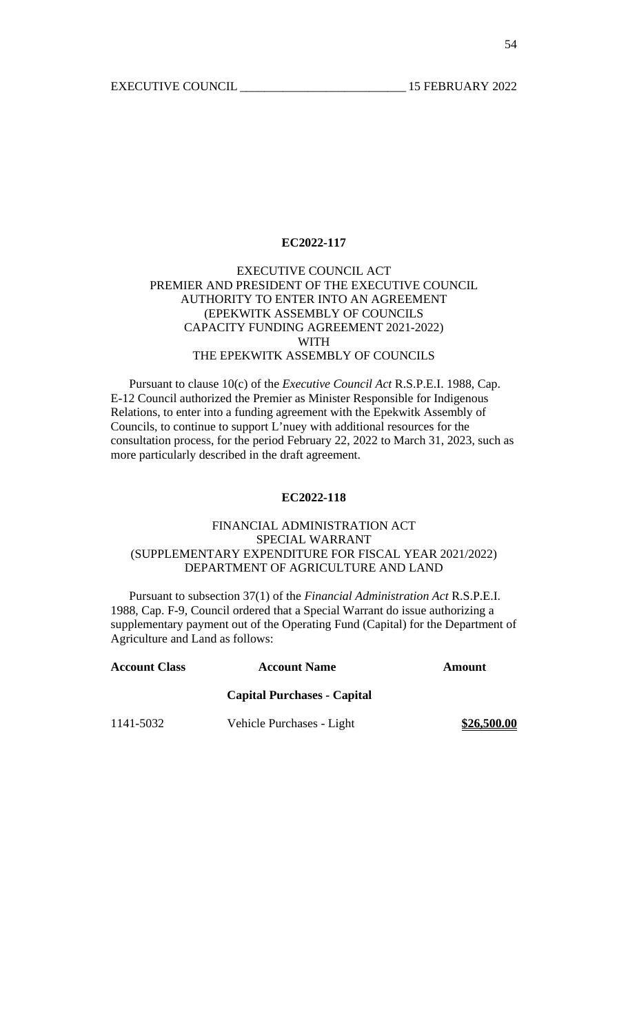# EXECUTIVE COUNCIL ACT PREMIER AND PRESIDENT OF THE EXECUTIVE COUNCIL AUTHORITY TO ENTER INTO AN AGREEMENT (EPEKWITK ASSEMBLY OF COUNCILS CAPACITY FUNDING AGREEMENT 2021-2022) WITH THE EPEKWITK ASSEMBLY OF COUNCILS

 Pursuant to clause 10(c) of the *Executive Council Act* R.S.P.E.I. 1988, Cap. E-12 Council authorized the Premier as Minister Responsible for Indigenous Relations, to enter into a funding agreement with the Epekwitk Assembly of Councils, to continue to support L'nuey with additional resources for the consultation process, for the period February 22, 2022 to March 31, 2023, such as more particularly described in the draft agreement.

### **EC2022-118**

# FINANCIAL ADMINISTRATION ACT SPECIAL WARRANT (SUPPLEMENTARY EXPENDITURE FOR FISCAL YEAR 2021/2022) DEPARTMENT OF AGRICULTURE AND LAND

 Pursuant to subsection 37(1) of the *Financial Administration Act* R.S.P.E.I. 1988, Cap. F-9, Council ordered that a Special Warrant do issue authorizing a supplementary payment out of the Operating Fund (Capital) for the Department of Agriculture and Land as follows:

| <b>Account Class</b> | <b>Account Name</b>                | Amount      |
|----------------------|------------------------------------|-------------|
|                      | <b>Capital Purchases - Capital</b> |             |
| 1141-5032            | Vehicle Purchases - Light          | \$26,500.00 |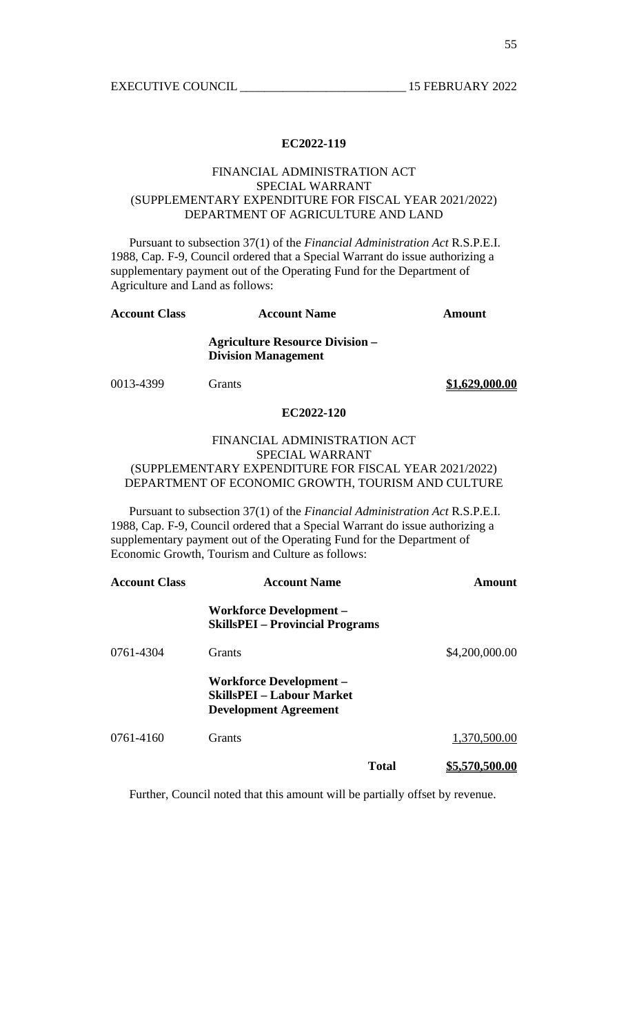## FINANCIAL ADMINISTRATION ACT SPECIAL WARRANT (SUPPLEMENTARY EXPENDITURE FOR FISCAL YEAR 2021/2022) DEPARTMENT OF AGRICULTURE AND LAND

 Pursuant to subsection 37(1) of the *Financial Administration Act* R.S.P.E.I. 1988, Cap. F-9, Council ordered that a Special Warrant do issue authorizing a supplementary payment out of the Operating Fund for the Department of Agriculture and Land as follows:

| <b>Account Class</b> | <b>Account Name</b>                                                  | Amount         |
|----------------------|----------------------------------------------------------------------|----------------|
|                      | <b>Agriculture Resource Division –</b><br><b>Division Management</b> |                |
| 0013-4399            | <b>Grants</b>                                                        | \$1,629,000.00 |
|                      | EC2022-120                                                           |                |

# FINANCIAL ADMINISTRATION ACT SPECIAL WARRANT (SUPPLEMENTARY EXPENDITURE FOR FISCAL YEAR 2021/2022) DEPARTMENT OF ECONOMIC GROWTH, TOURISM AND CULTURE

 Pursuant to subsection 37(1) of the *Financial Administration Act* R.S.P.E.I. 1988, Cap. F-9, Council ordered that a Special Warrant do issue authorizing a supplementary payment out of the Operating Fund for the Department of Economic Growth, Tourism and Culture as follows:

| <b>Account Class</b> | <b>Account Name</b>                                                                                |              | Amount         |
|----------------------|----------------------------------------------------------------------------------------------------|--------------|----------------|
|                      | <b>Workforce Development –</b><br><b>SkillsPEI</b> – Provincial Programs                           |              |                |
| 0761-4304            | <b>Grants</b>                                                                                      |              | \$4,200,000.00 |
|                      | <b>Workforce Development –</b><br><b>SkillsPEI - Labour Market</b><br><b>Development Agreement</b> |              |                |
| 0761-4160            | <b>Grants</b>                                                                                      |              | 1,370,500.00   |
|                      |                                                                                                    | <b>Total</b> | \$5,570,500.00 |

Further, Council noted that this amount will be partially offset by revenue.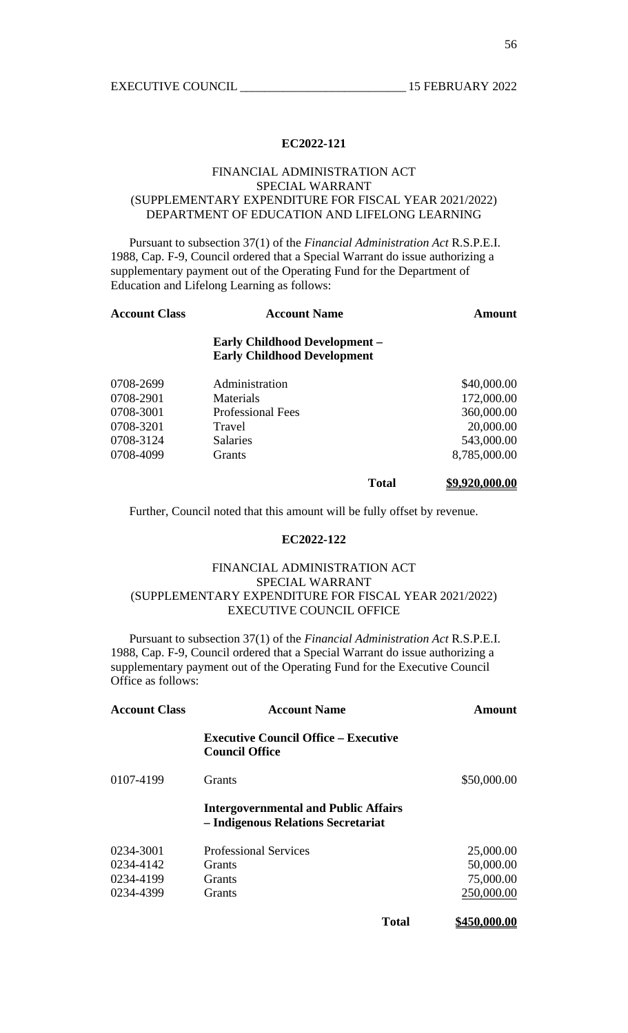### FINANCIAL ADMINISTRATION ACT SPECIAL WARRANT (SUPPLEMENTARY EXPENDITURE FOR FISCAL YEAR 2021/2022) DEPARTMENT OF EDUCATION AND LIFELONG LEARNING

 Pursuant to subsection 37(1) of the *Financial Administration Act* R.S.P.E.I. 1988, Cap. F-9, Council ordered that a Special Warrant do issue authorizing a supplementary payment out of the Operating Fund for the Department of Education and Lifelong Learning as follows:

| <b>Account Class</b> | <b>Account Name</b>                                                        | <b>Amount</b> |
|----------------------|----------------------------------------------------------------------------|---------------|
|                      | <b>Early Childhood Development -</b><br><b>Early Childhood Development</b> |               |
| 0708-2699            | Administration                                                             | \$40,000.00   |
| 0708-2901            | Materials                                                                  | 172,000.00    |
| 0708-3001            | <b>Professional Fees</b>                                                   | 360,000.00    |
| 0708-3201            | Travel                                                                     | 20,000.00     |
| 0708-3124            | <b>Salaries</b>                                                            | 543,000.00    |
| 0708-4099            | Grants                                                                     | 8,785,000.00  |

**Total \$9,920,000.00**

Further, Council noted that this amount will be fully offset by revenue.

#### **EC2022-122**

# FINANCIAL ADMINISTRATION ACT SPECIAL WARRANT (SUPPLEMENTARY EXPENDITURE FOR FISCAL YEAR 2021/2022) EXECUTIVE COUNCIL OFFICE

 Pursuant to subsection 37(1) of the *Financial Administration Act* R.S.P.E.I. 1988, Cap. F-9, Council ordered that a Special Warrant do issue authorizing a supplementary payment out of the Operating Fund for the Executive Council Office as follows:

| <b>Account Class</b> | <b>Account Name</b>                                                               | Amount       |
|----------------------|-----------------------------------------------------------------------------------|--------------|
|                      | <b>Executive Council Office – Executive</b><br><b>Council Office</b>              |              |
| 0107-4199            | <b>Grants</b>                                                                     | \$50,000.00  |
|                      | <b>Intergovernmental and Public Affairs</b><br>- Indigenous Relations Secretariat |              |
| 0234-3001            | <b>Professional Services</b>                                                      | 25,000.00    |
| 0234-4142            | <b>Grants</b>                                                                     | 50,000.00    |
| 0234-4199            | Grants                                                                            | 75,000.00    |
| 0234-4399            | <b>Grants</b>                                                                     | 250,000.00   |
|                      | <b>Total</b>                                                                      | \$450,000.00 |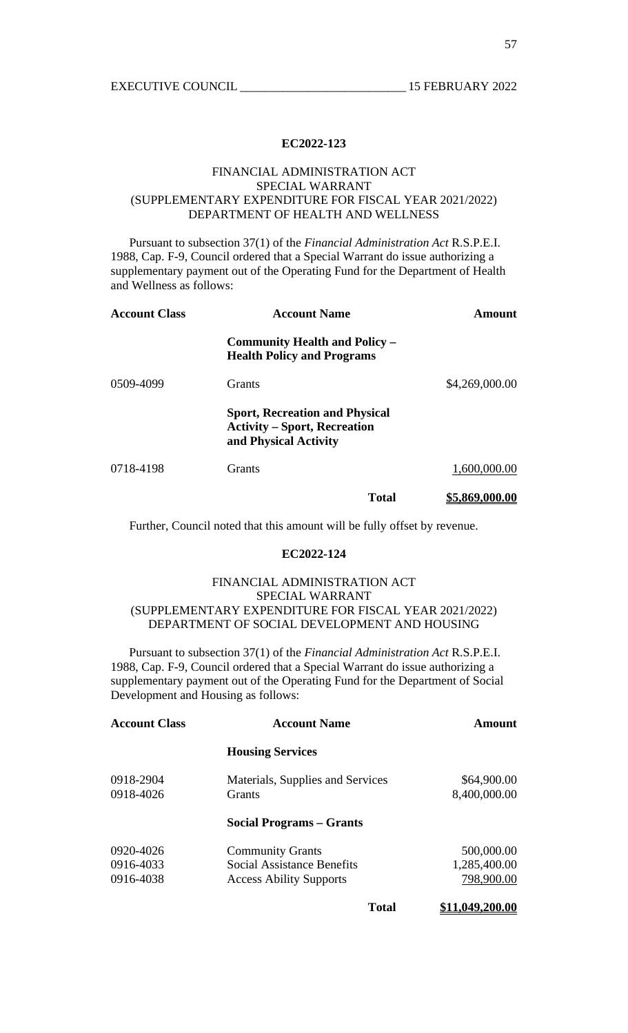## FINANCIAL ADMINISTRATION ACT SPECIAL WARRANT (SUPPLEMENTARY EXPENDITURE FOR FISCAL YEAR 2021/2022) DEPARTMENT OF HEALTH AND WELLNESS

 Pursuant to subsection 37(1) of the *Financial Administration Act* R.S.P.E.I. 1988, Cap. F-9, Council ordered that a Special Warrant do issue authorizing a supplementary payment out of the Operating Fund for the Department of Health and Wellness as follows:

| <b>Account Class</b> | <b>Account Name</b>                                                                                   | Amount                |
|----------------------|-------------------------------------------------------------------------------------------------------|-----------------------|
|                      | <b>Community Health and Policy –</b><br><b>Health Policy and Programs</b>                             |                       |
| 0509-4099            | <b>Grants</b>                                                                                         | \$4,269,000.00        |
|                      | <b>Sport, Recreation and Physical</b><br><b>Activity – Sport, Recreation</b><br>and Physical Activity |                       |
| 0718-4198            | <b>Grants</b>                                                                                         | 1,600,000.00          |
|                      | Total                                                                                                 | <u>\$5,869,000.00</u> |

Further, Council noted that this amount will be fully offset by revenue.

#### **EC2022-124**

# FINANCIAL ADMINISTRATION ACT SPECIAL WARRANT (SUPPLEMENTARY EXPENDITURE FOR FISCAL YEAR 2021/2022) DEPARTMENT OF SOCIAL DEVELOPMENT AND HOUSING

 Pursuant to subsection 37(1) of the *Financial Administration Act* R.S.P.E.I. 1988, Cap. F-9, Council ordered that a Special Warrant do issue authorizing a supplementary payment out of the Operating Fund for the Department of Social Development and Housing as follows:

| <b>Account Class</b> | <b>Account Name</b>               | <b>Amount</b>   |
|----------------------|-----------------------------------|-----------------|
|                      | <b>Housing Services</b>           |                 |
| 0918-2904            | Materials, Supplies and Services  | \$64,900.00     |
| 0918-4026            | <b>Grants</b>                     | 8,400,000.00    |
|                      | <b>Social Programs – Grants</b>   |                 |
| 0920-4026            | <b>Community Grants</b>           | 500,000.00      |
| 0916-4033            | <b>Social Assistance Benefits</b> | 1,285,400.00    |
| 0916-4038            | <b>Access Ability Supports</b>    | 798,900.00      |
|                      | <b>Total</b>                      | \$11,049,200.00 |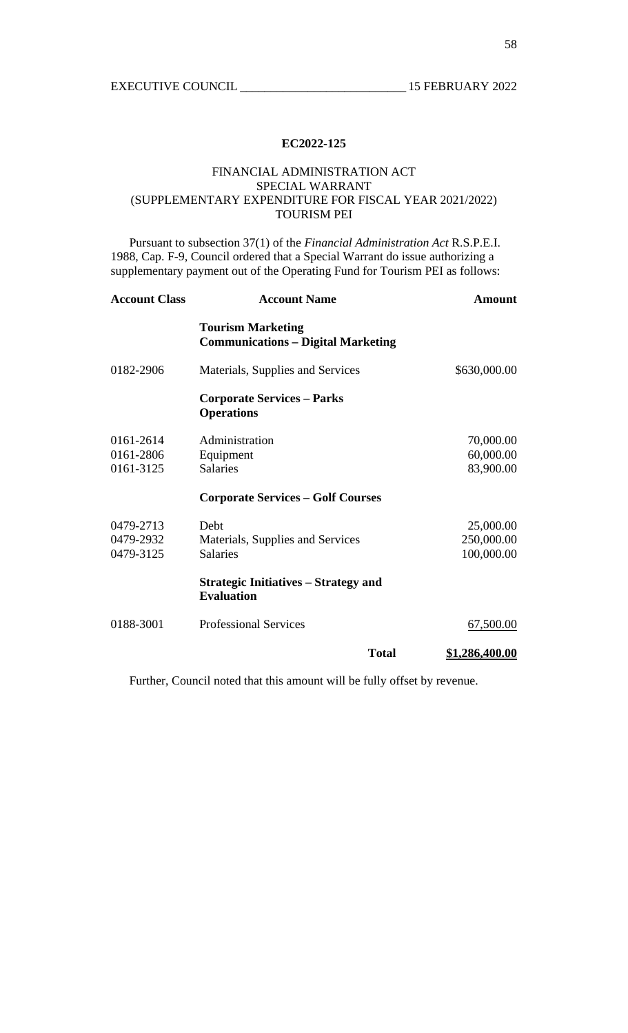## FINANCIAL ADMINISTRATION ACT SPECIAL WARRANT (SUPPLEMENTARY EXPENDITURE FOR FISCAL YEAR 2021/2022) TOURISM PEI

 Pursuant to subsection 37(1) of the *Financial Administration Act* R.S.P.E.I. 1988, Cap. F-9, Council ordered that a Special Warrant do issue authorizing a supplementary payment out of the Operating Fund for Tourism PEI as follows:

| <b>Account Class</b> | <b>Account Name</b>                                                   | <b>Amount</b>  |
|----------------------|-----------------------------------------------------------------------|----------------|
|                      | <b>Tourism Marketing</b><br><b>Communications - Digital Marketing</b> |                |
| 0182-2906            | Materials, Supplies and Services                                      | \$630,000.00   |
|                      | <b>Corporate Services – Parks</b><br><b>Operations</b>                |                |
| 0161-2614            | Administration                                                        | 70,000.00      |
| 0161-2806            | Equipment                                                             | 60,000.00      |
| 0161-3125            | <b>Salaries</b>                                                       | 83,900.00      |
|                      | <b>Corporate Services – Golf Courses</b>                              |                |
| 0479-2713            | Debt                                                                  | 25,000.00      |
| 0479-2932            | Materials, Supplies and Services                                      | 250,000.00     |
| 0479-3125            | <b>Salaries</b>                                                       | 100,000.00     |
|                      | <b>Strategic Initiatives – Strategy and</b><br><b>Evaluation</b>      |                |
| 0188-3001            | <b>Professional Services</b>                                          | 67,500.00      |
|                      | <b>Total</b>                                                          | \$1,286,400.00 |

Further, Council noted that this amount will be fully offset by revenue.